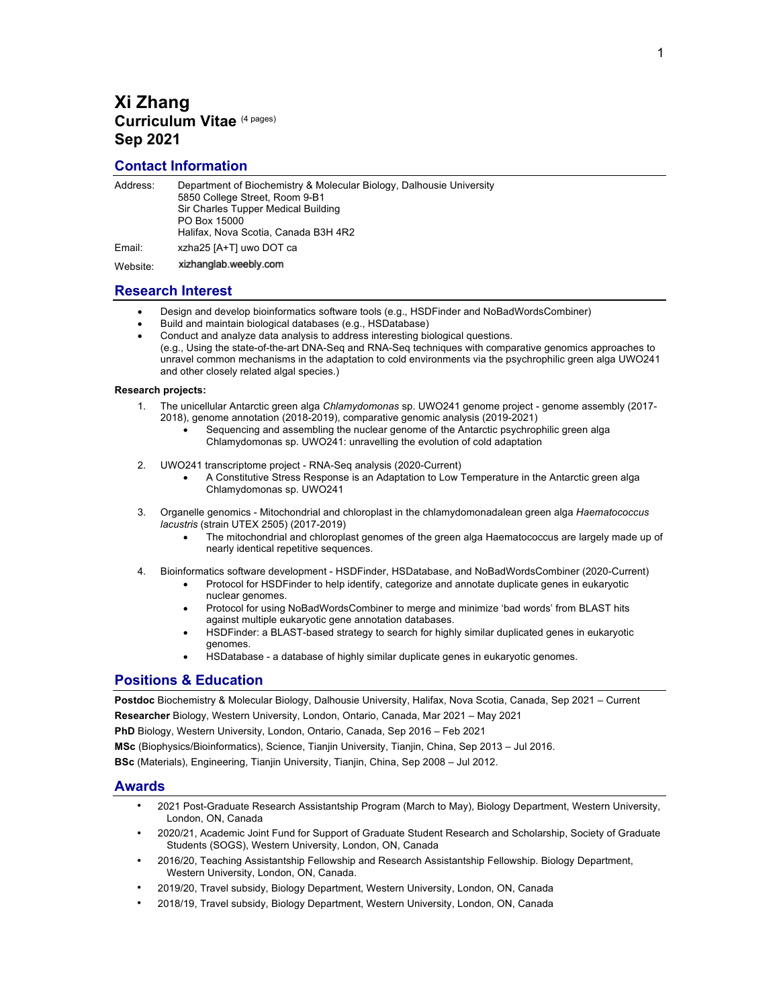## **Xi Zhang Curriculum Vitae** (4 pages) **Sep 2021**

## **Contact Information**

| Address: | Department of Biochemistry & Molecular Biology, Dalhousie University<br>5850 College Street, Room 9-B1<br>Sir Charles Tupper Medical Building<br>PO Box 15000<br>Halifax, Nova Scotia, Canada B3H 4R2 |
|----------|-------------------------------------------------------------------------------------------------------------------------------------------------------------------------------------------------------|
| Email:   | xzha25 [A+T] uwo DOT ca                                                                                                                                                                               |
| Website: | xizhanglab.weebly.com                                                                                                                                                                                 |

## **Research Interest**

- Design and develop bioinformatics software tools (e.g., HSDFinder and NoBadWordsCombiner)
- Build and maintain biological databases (e.g., HSDatabase)
- Conduct and analyze data analysis to address interesting biological questions. (e.g., Using the state-of-the-art DNA-Seq and RNA-Seq techniques with comparative genomics approaches to unravel common mechanisms in the adaptation to cold environments via the psychrophilic green alga UWO241 and other closely related algal species.)

#### **Research projects:**

- 1. The unicellular Antarctic green alga *Chlamydomonas* sp. UWO241 genome project genome assembly (2017- 2018), genome annotation (2018-2019), comparative genomic analysis (2019-2021)
	- Sequencing and assembling the nuclear genome of the Antarctic psychrophilic green alga Chlamydomonas sp. UWO241: unravelling the evolution of cold adaptation
- 2. UWO241 transcriptome project RNA-Seq analysis (2020-Current)
	- A Constitutive Stress Response is an Adaptation to Low Temperature in the Antarctic green alga Chlamydomonas sp. UWO241
- 3. Organelle genomics Mitochondrial and chloroplast in the chlamydomonadalean green alga *Haematococcus lacustris* (strain UTEX 2505) (2017-2019)
	- The mitochondrial and chloroplast genomes of the green alga Haematococcus are largely made up of nearly identical repetitive sequences.
- 4. Bioinformatics software development HSDFinder, HSDatabase, and NoBadWordsCombiner (2020-Current)
	- Protocol for HSDFinder to help identify, categorize and annotate duplicate genes in eukaryotic nuclear genomes.
	- Protocol for using NoBadWordsCombiner to merge and minimize 'bad words' from BLAST hits against multiple eukaryotic gene annotation databases.
	- HSDFinder: a BLAST-based strategy to search for highly similar duplicated genes in eukaryotic genomes.
	- HSDatabase a database of highly similar duplicate genes in eukaryotic genomes.

## **Positions & Education**

**Postdoc** Biochemistry & Molecular Biology, Dalhousie University, Halifax, Nova Scotia, Canada, Sep 2021 – Current **Researcher** Biology, Western University, London, Ontario, Canada, Mar 2021 – May 2021

**PhD** Biology, Western University, London, Ontario, Canada, Sep 2016 – Feb 2021

**MSc** (Biophysics/Bioinformatics), Science, Tianjin University, Tianjin, China, Sep 2013 – Jul 2016.

**BSc** (Materials), Engineering, Tianjin University, Tianjin, China, Sep 2008 – Jul 2012.

## **Awards**

- 2021 Post-Graduate Research Assistantship Program (March to May), Biology Department, Western University, London, ON, Canada
- 2020/21, Academic Joint Fund for Support of Graduate Student Research and Scholarship, Society of Graduate Students (SOGS), Western University, London, ON, Canada
- 2016/20, Teaching Assistantship Fellowship and Research Assistantship Fellowship. Biology Department, Western University, London, ON, Canada.
- 2019/20, Travel subsidy, Biology Department, Western University, London, ON, Canada
- 2018/19, Travel subsidy, Biology Department, Western University, London, ON, Canada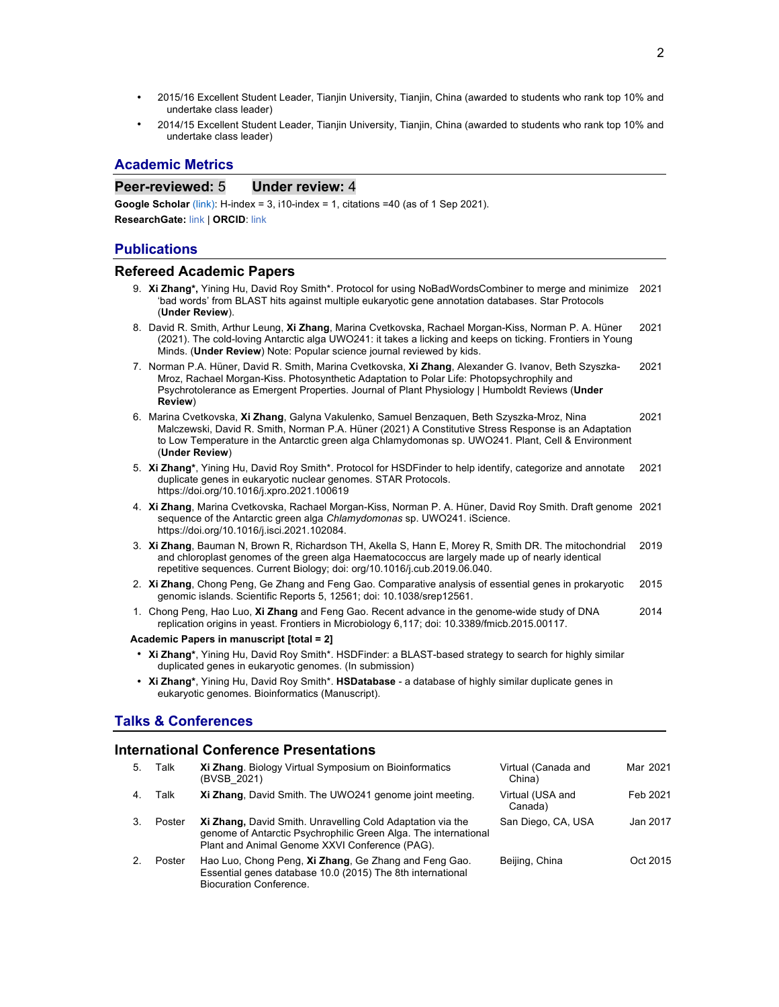- 2015/16 Excellent Student Leader, Tianjin University, Tianjin, China (awarded to students who rank top 10% and undertake class leader)
- 2014/15 Excellent Student Leader, Tianjin University, Tianjin, China (awarded to students who rank top 10% and undertake class leader)

## **Academic Metrics**

## **Peer-reviewed: 5 Under review: 4**

**Google Scholar** (link): H-index = 3, i10-index = 1, citations = 40 (as of 1 Sep 2021). **ResearchGate:** link | **ORCID**: link

### **Publications**

### $Refered Academic Papers$

- 9. **Xi Zhang\*,** Yining Hu, David Roy Smith\*. Protocol for using NoBadWordsCombiner to merge and minimize 2021 'bad words' from BLAST hits against multiple eukaryotic gene annotation databases. Star Protocols (**Under Review**).
- 8. David R. Smith, Arthur Leung, **Xi Zhang**, Marina Cvetkovska, Rachael Morgan-Kiss, Norman P. A. Hüner (2021). The cold-loving Antarctic alga UWO241: it takes a licking and keeps on ticking. Frontiers in Young Minds. (**Under Review**) Note: Popular science journal reviewed by kids. 2021
- 7. Norman P.A. Hüner, David R. Smith, Marina Cvetkovska, **Xi Zhang**, Alexander G. Ivanov, Beth Szyszka-Mroz, Rachael Morgan-Kiss. Photosynthetic Adaptation to Polar Life: Photopsychrophily and Psychrotolerance as Emergent Properties. Journal of Plant Physiology | Humboldt Reviews (**Under Review**) 2021
- 6. Marina Cvetkovska, **Xi Zhang**, Galyna Vakulenko, Samuel Benzaquen, Beth Szyszka-Mroz, Nina Malczewski, David R. Smith, Norman P.A. Hüner (2021) A Constitutive Stress Response is an Adaptation to Low Temperature in the Antarctic green alga Chlamydomonas sp. UWO241. Plant, Cell & Environment (**Under Review**) 2021
- 5. **Xi Zhang\***, Yining Hu, David Roy Smith\*. Protocol for HSDFinder to help identify, categorize and annotate duplicate genes in eukaryotic nuclear genomes. STAR Protocols. https://doi.org/10.1016/j.xpro.2021.100619 2021
- 4. **Xi Zhang**, Marina Cvetkovska, Rachael Morgan-Kiss, Norman P. A. Hüner, David Roy Smith. Draft genome 2021 sequence of the Antarctic green alga *Chlamydomonas* sp. UWO241. iScience. https://doi.org/10.1016/j.isci.2021.102084.
- 3. **Xi Zhang**, Bauman N, Brown R, Richardson TH, Akella S, Hann E, Morey R, Smith DR. The mitochondrial and chloroplast genomes of the green alga Haematococcus are largely made up of nearly identical repetitive sequences. Current Biology; doi: org/10.1016/j.cub.2019.06.040. 2019
- 2. **Xi Zhang**, Chong Peng, Ge Zhang and Feng Gao. Comparative analysis of essential genes in prokaryotic genomic islands. Scientific Reports 5, 12561; doi: 10.1038/srep12561. 2015
- 1. Chong Peng, Hao Luo, **Xi Zhang** and Feng Gao. Recent advance in the genome-wide study of DNA replication origins in yeast. Frontiers in Microbiology 6,117; doi: 10.3389/fmicb.2015.00117. 2014

#### **Academic Papers in manuscript [total = 2]**

- **Xi Zhang\***, Yining Hu, David Roy Smith\*. HSDFinder: a BLAST-based strategy to search for highly similar duplicated genes in eukaryotic genomes. (In submission)
- **Xi Zhang\***, Yining Hu, David Roy Smith\*. **HSDatabase** a database of highly similar duplicate genes in eukaryotic genomes. Bioinformatics (Manuscript).

## **Talks & Conferences**

## **International Conference Presentations**

| 5. | Talk   | Xi Zhang. Biology Virtual Symposium on Bioinformatics<br>(BVSB 2021)                                                                                                            | Virtual (Canada and<br>China) | Mar 2021 |
|----|--------|---------------------------------------------------------------------------------------------------------------------------------------------------------------------------------|-------------------------------|----------|
|    | Talk   | Xi Zhang, David Smith. The UWO241 genome joint meeting.                                                                                                                         | Virtual (USA and<br>Canada)   | Feb 2021 |
|    | Poster | Xi Zhang, David Smith. Unravelling Cold Adaptation via the<br>genome of Antarctic Psychrophilic Green Alga. The international<br>Plant and Animal Genome XXVI Conference (PAG). | San Diego, CA, USA            | Jan 2017 |
|    | Poster | Hao Luo, Chong Peng, Xi Zhang, Ge Zhang and Feng Gao.<br>Essential genes database 10.0 (2015) The 8th international<br>Biocuration Conference.                                  | Beijing, China                | Oct 2015 |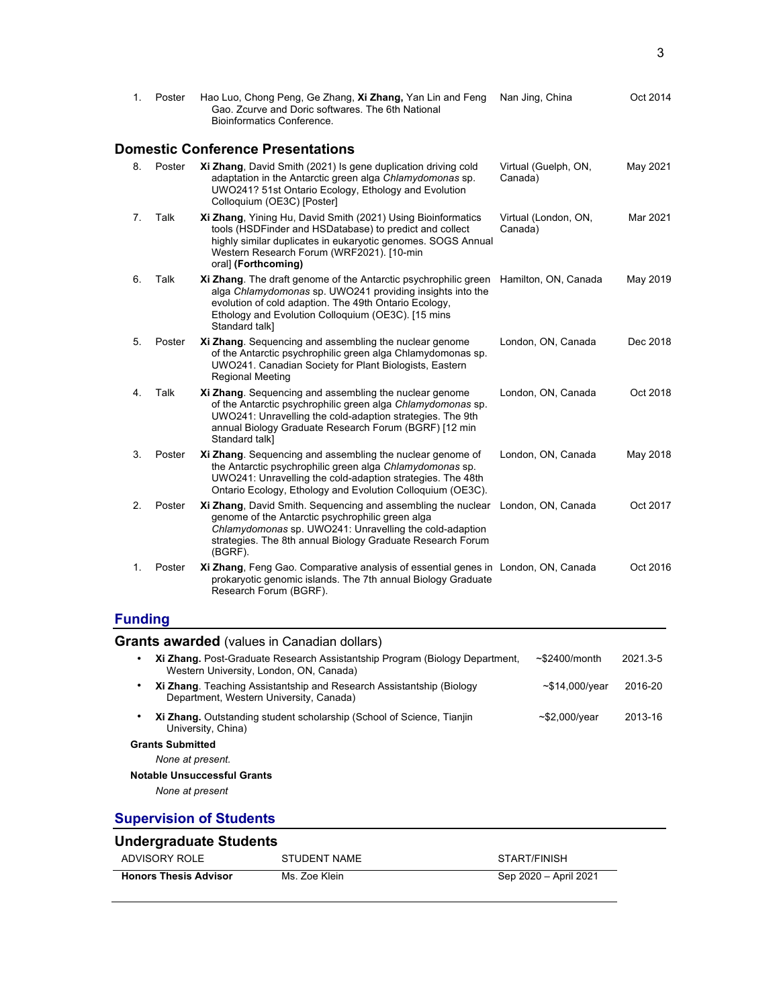| 1.             | Poster                  | Hao Luo, Chong Peng, Ge Zhang, Xi Zhang, Yan Lin and Feng                                                                                                                                                                                                               | Nan Jing, China                 | Oct 2014 |
|----------------|-------------------------|-------------------------------------------------------------------------------------------------------------------------------------------------------------------------------------------------------------------------------------------------------------------------|---------------------------------|----------|
|                |                         | Gao. Zcurve and Doric softwares. The 6th National<br>Bioinformatics Conference.                                                                                                                                                                                         |                                 |          |
|                |                         | <b>Domestic Conference Presentations</b>                                                                                                                                                                                                                                |                                 |          |
| 8.             | Poster                  | Xi Zhang, David Smith (2021) Is gene duplication driving cold<br>adaptation in the Antarctic green alga Chlamydomonas sp.<br>UWO241? 51st Ontario Ecology, Ethology and Evolution<br>Colloquium (OE3C) [Poster]                                                         | Virtual (Guelph, ON,<br>Canada) | May 2021 |
| 7.             | Talk                    | Xi Zhang, Yining Hu, David Smith (2021) Using Bioinformatics<br>tools (HSDFinder and HSDatabase) to predict and collect<br>highly similar duplicates in eukaryotic genomes. SOGS Annual<br>Western Research Forum (WRF2021). [10-min<br>oral] (Forthcoming)             | Virtual (London, ON,<br>Canada) | Mar 2021 |
| 6.             | Talk                    | Xi Zhang. The draft genome of the Antarctic psychrophilic green<br>alga Chlamydomonas sp. UWO241 providing insights into the<br>evolution of cold adaption. The 49th Ontario Ecology,<br>Ethology and Evolution Colloguium (OE3C). [15 mins<br>Standard talk]           | Hamilton, ON, Canada            | May 2019 |
| 5.             | Poster                  | Xi Zhang. Sequencing and assembling the nuclear genome<br>of the Antarctic psychrophilic green alga Chlamydomonas sp.<br>UWO241. Canadian Society for Plant Biologists, Eastern<br><b>Regional Meeting</b>                                                              | London, ON, Canada              | Dec 2018 |
| 4.             | Talk                    | Xi Zhang. Sequencing and assembling the nuclear genome<br>of the Antarctic psychrophilic green alga Chlamydomonas sp.<br>UWO241: Unravelling the cold-adaption strategies. The 9th<br>annual Biology Graduate Research Forum (BGRF) [12 min<br>Standard talk]           | London, ON, Canada              | Oct 2018 |
| 3.             | Poster                  | Xi Zhang. Sequencing and assembling the nuclear genome of<br>the Antarctic psychrophilic green alga Chlamydomonas sp.<br>UWO241: Unravelling the cold-adaption strategies. The 48th<br>Ontario Ecology, Ethology and Evolution Colloquium (OE3C).                       | London, ON, Canada              | May 2018 |
| 2.             | Poster                  | Xi Zhang, David Smith. Sequencing and assembling the nuclear London, ON, Canada<br>genome of the Antarctic psychrophilic green alga<br>Chlamydomonas sp. UWO241: Unravelling the cold-adaption<br>strategies. The 8th annual Biology Graduate Research Forum<br>(BGRF). |                                 | Oct 2017 |
| 1.             | Poster                  | Xi Zhang, Feng Gao. Comparative analysis of essential genes in London, ON, Canada<br>prokaryotic genomic islands. The 7th annual Biology Graduate<br>Research Forum (BGRF).                                                                                             |                                 | Oct 2016 |
| <b>Funding</b> |                         |                                                                                                                                                                                                                                                                         |                                 |          |
|                |                         | <b>Grants awarded</b> (values in Canadian dollars)                                                                                                                                                                                                                      |                                 |          |
|                |                         | Xi Zhang. Post-Graduate Research Assistantship Program (Biology Department,<br>Western University, London, ON, Canada)                                                                                                                                                  | ~\$2400/month                   | 2021.3-5 |
|                |                         | Xi Zhang. Teaching Assistantship and Research Assistantship (Biology<br>Department, Western University, Canada)                                                                                                                                                         | $-$14,000/year$                 | 2016-20  |
|                |                         | Xi Zhang. Outstanding student scholarship (School of Science, Tianjin<br>University, China)                                                                                                                                                                             | $-$ \$2,000/year                | 2013-16  |
|                | <b>Grants Submitted</b> |                                                                                                                                                                                                                                                                         |                                 |          |
|                | None at present.        |                                                                                                                                                                                                                                                                         |                                 |          |
|                |                         | <b>Notable Unsuccessful Grants</b>                                                                                                                                                                                                                                      |                                 |          |
|                |                         |                                                                                                                                                                                                                                                                         |                                 |          |
|                | None at present         |                                                                                                                                                                                                                                                                         |                                 |          |

| <b>Honors Thesis Advisor</b>            | Ms. Zoe Klein | Sep 2020 - April 2021 |
|-----------------------------------------|---------------|-----------------------|
| ______________________<br>ADVISORY ROLE | STUDENT NAME  | START/FINISH          |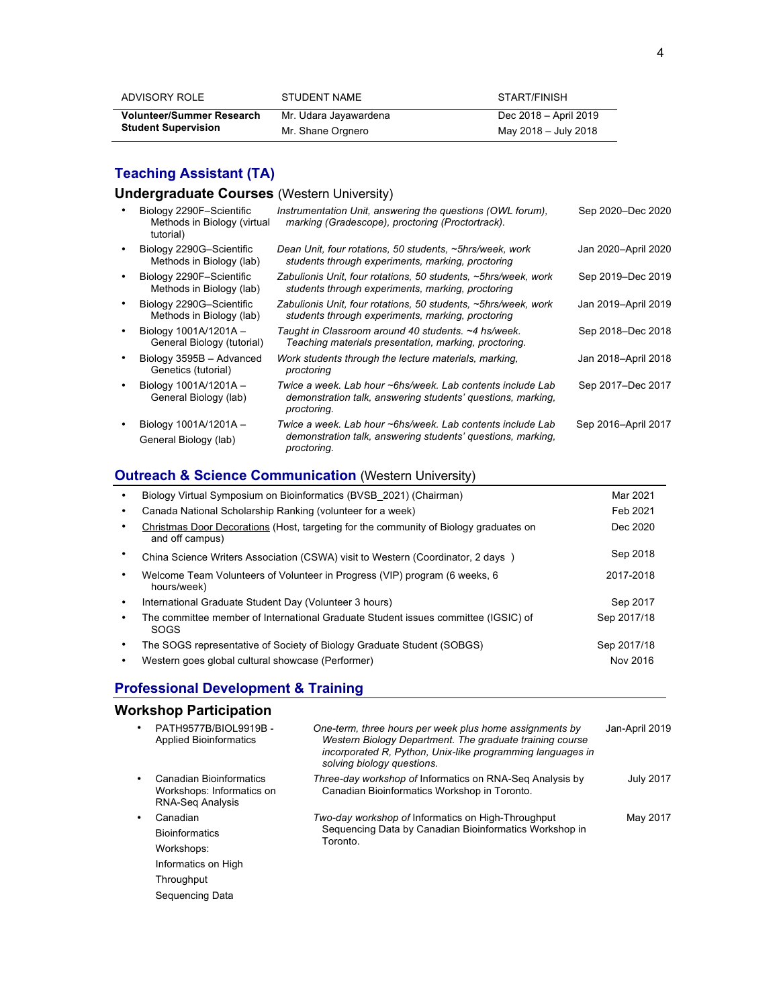| ADVISORY ROLE              | STUDENT NAME          | START/FINISH          |
|----------------------------|-----------------------|-----------------------|
| Volunteer/Summer Research  | Mr. Udara Jayawardena | Dec 2018 – April 2019 |
| <b>Student Supervision</b> | Mr. Shane Orgnero     | May 2018 - July 2018  |

## **Teaching Assistant (TA)**

## **Undergraduate Courses** (Western University)

| Biology 2290F-Scientific<br>Methods in Biology (virtual<br>tutorial) | Instrumentation Unit, answering the questions (OWL forum),<br>marking (Gradescope), proctoring (Proctortrack).                           | Sep 2020-Dec 2020   |
|----------------------------------------------------------------------|------------------------------------------------------------------------------------------------------------------------------------------|---------------------|
| Biology 2290G-Scientific<br>Methods in Biology (lab)                 | Dean Unit, four rotations, 50 students, ~5hrs/week, work<br>students through experiments, marking, proctoring                            | Jan 2020-April 2020 |
| Biology 2290F-Scientific<br>Methods in Biology (lab)                 | Zabulionis Unit, four rotations, 50 students, ~5hrs/week, work<br>students through experiments, marking, proctoring                      | Sep 2019–Dec 2019   |
| Biology 2290G-Scientific<br>Methods in Biology (lab)                 | Zabulionis Unit, four rotations, 50 students, ~5hrs/week, work<br>students through experiments, marking, proctoring                      | Jan 2019-April 2019 |
| Biology 1001A/1201A-<br>General Biology (tutorial)                   | Taught in Classroom around 40 students. ~4 hs/week.<br>Teaching materials presentation, marking, proctoring.                             | Sep 2018–Dec 2018   |
| Biology 3595B - Advanced<br>Genetics (tutorial)                      | Work students through the lecture materials, marking,<br>proctoring                                                                      | Jan 2018-April 2018 |
| Biology 1001A/1201A -<br>General Biology (lab)                       | Twice a week. Lab hour ~6hs/week. Lab contents include Lab<br>demonstration talk, answering students' questions, marking,<br>proctoring. | Sep 2017-Dec 2017   |
| Biology 1001A/1201A -<br>General Biology (lab)                       | Twice a week. Lab hour ~6hs/week. Lab contents include Lab<br>demonstration talk, answering students' questions, marking,<br>proctoring. | Sep 2016-April 2017 |

## **Outreach & Science Communication** (Western University)

|   | Biology Virtual Symposium on Bioinformatics (BVSB 2021) (Chairman)                                       | Mar 2021    |
|---|----------------------------------------------------------------------------------------------------------|-------------|
| ٠ | Canada National Scholarship Ranking (volunteer for a week)                                               | Feb 2021    |
| ٠ | Christmas Door Decorations (Host, targeting for the community of Biology graduates on<br>and off campus) | Dec 2020    |
|   | China Science Writers Association (CSWA) visit to Western (Coordinator, 2 days)                          | Sep 2018    |
| ٠ | Welcome Team Volunteers of Volunteer in Progress (VIP) program (6 weeks, 6<br>hours/week)                | 2017-2018   |
| ٠ | International Graduate Student Day (Volunteer 3 hours)                                                   | Sep 2017    |
|   | The committee member of International Graduate Student issues committee (IGSIC) of<br>SOGS               | Sep 2017/18 |
| ٠ | The SOGS representative of Society of Biology Graduate Student (SOBGS)                                   | Sep 2017/18 |
|   | Western goes global cultural showcase (Performer)                                                        | Nov 2016    |

# **Professional Development & Training**

# **Workshop Participation**

|  | PATH9577B/BIOL9919B -<br><b>Applied Bioinformatics</b>                          | One-term, three hours per week plus home assignments by<br>Western Biology Department. The graduate training course<br>incorporated R, Python, Unix-like programming languages in<br>solving biology questions. | Jan-April 2019   |  |
|--|---------------------------------------------------------------------------------|-----------------------------------------------------------------------------------------------------------------------------------------------------------------------------------------------------------------|------------------|--|
|  | Canadian Bioinformatics<br>Workshops: Informatics on<br><b>RNA-Seq Analysis</b> | <i>Three-day workshop of Informatics on RNA-Seg Analysis by</i><br>Canadian Bioinformatics Workshop in Toronto.                                                                                                 | <b>July 2017</b> |  |
|  | Canadian                                                                        | Two-day workshop of Informatics on High-Throughput                                                                                                                                                              | May 2017         |  |
|  | <b>Bioinformatics</b>                                                           | Sequencing Data by Canadian Bioinformatics Workshop in<br>Toronto.                                                                                                                                              |                  |  |
|  | Workshops:                                                                      |                                                                                                                                                                                                                 |                  |  |
|  | Informatics on High                                                             |                                                                                                                                                                                                                 |                  |  |
|  | Throughput                                                                      |                                                                                                                                                                                                                 |                  |  |
|  | Sequencing Data                                                                 |                                                                                                                                                                                                                 |                  |  |